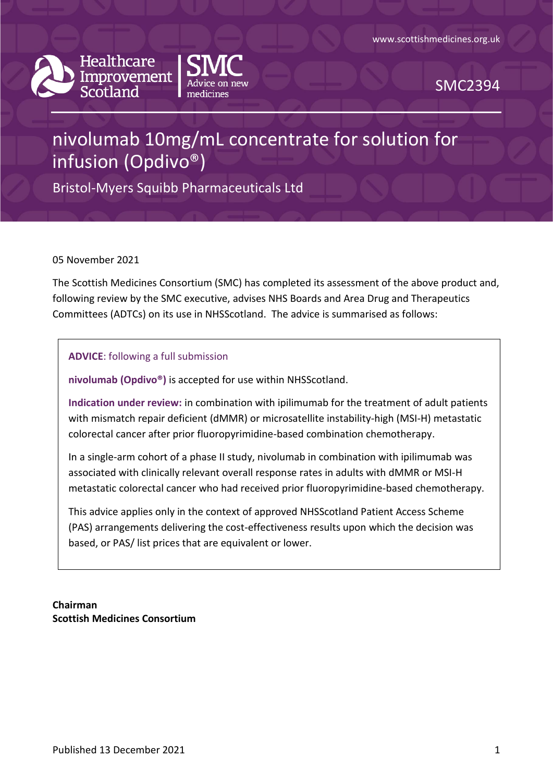



SMC2394

# nivolumab 10mg/mL concentrate for solution for infusion (Opdivo®)

Bristol-Myers Squibb Pharmaceuticals Ltd

05 November 2021

The Scottish Medicines Consortium (SMC) has completed its assessment of the above product and, following review by the SMC executive, advises NHS Boards and Area Drug and Therapeutics Committees (ADTCs) on its use in NHSScotland. The advice is summarised as follows:

**ADVICE**: following a full submission

**nivolumab (Opdivo®)** is accepted for use within NHSScotland.

**Indication under review:** in combination with ipilimumab for the treatment of adult patients with mismatch repair deficient (dMMR) or microsatellite instability-high (MSI-H) metastatic colorectal cancer after prior fluoropyrimidine-based combination chemotherapy.

In a single-arm cohort of a phase II study, nivolumab in combination with ipilimumab was associated with clinically relevant overall response rates in adults with dMMR or MSI-H metastatic colorectal cancer who had received prior fluoropyrimidine-based chemotherapy.

This advice applies only in the context of approved NHSScotland Patient Access Scheme (PAS) arrangements delivering the cost-effectiveness results upon which the decision was based, or PAS/ list prices that are equivalent or lower.

**Chairman Scottish Medicines Consortium**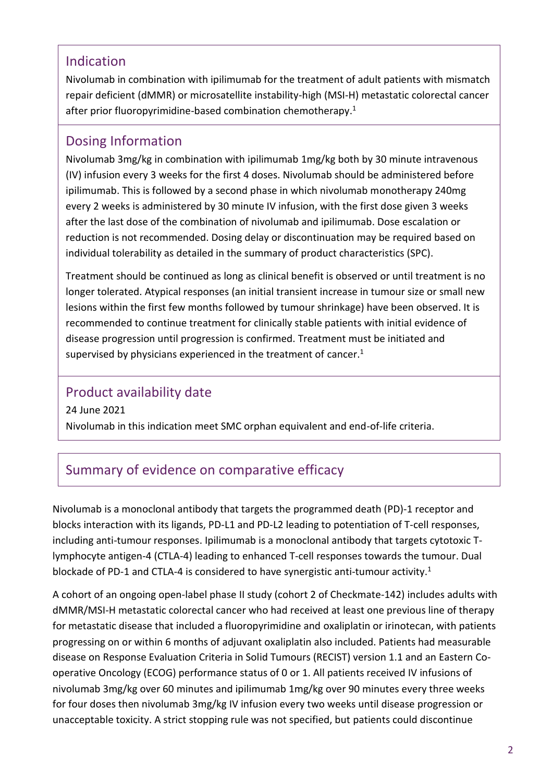### Indication

Nivolumab in combination with ipilimumab for the treatment of adult patients with mismatch repair deficient (dMMR) or microsatellite instability-high (MSI-H) metastatic colorectal cancer after prior fluoropyrimidine-based combination chemotherapy. 1

### Dosing Information

Nivolumab 3mg/kg in combination with ipilimumab 1mg/kg both by 30 minute intravenous (IV) infusion every 3 weeks for the first 4 doses. Nivolumab should be administered before ipilimumab. This is followed by a second phase in which nivolumab monotherapy 240mg every 2 weeks is administered by 30 minute IV infusion, with the first dose given 3 weeks after the last dose of the combination of nivolumab and ipilimumab. Dose escalation or reduction is not recommended. Dosing delay or discontinuation may be required based on individual tolerability as detailed in the summary of product characteristics (SPC).

Treatment should be continued as long as clinical benefit is observed or until treatment is no longer tolerated. Atypical responses (an initial transient increase in tumour size or small new lesions within the first few months followed by tumour shrinkage) have been observed. It is recommended to continue treatment for clinically stable patients with initial evidence of disease progression until progression is confirmed. Treatment must be initiated and supervised by physicians experienced in the treatment of cancer.<sup>1</sup>

### Product availability date

24 June 2021 Nivolumab in this indication meet SMC orphan equivalent and end-of-life criteria.

# Summary of evidence on comparative efficacy

Nivolumab is a monoclonal antibody that targets the programmed death (PD)-1 receptor and blocks interaction with its ligands, PD-L1 and PD-L2 leading to potentiation of T-cell responses, including anti-tumour responses. Ipilimumab is a monoclonal antibody that targets cytotoxic Tlymphocyte antigen-4 (CTLA-4) leading to enhanced T-cell responses towards the tumour. Dual blockade of PD-1 and CTLA-4 is considered to have synergistic anti-tumour activity.<sup>1</sup>

A cohort of an ongoing open-label phase II study (cohort 2 of Checkmate-142) includes adults with dMMR/MSI-H metastatic colorectal cancer who had received at least one previous line of therapy for metastatic disease that included a fluoropyrimidine and oxaliplatin or irinotecan, with patients progressing on or within 6 months of adjuvant oxaliplatin also included. Patients had measurable disease on Response Evaluation Criteria in Solid Tumours (RECIST) version 1.1 and an Eastern Cooperative Oncology (ECOG) performance status of 0 or 1. All patients received IV infusions of nivolumab 3mg/kg over 60 minutes and ipilimumab 1mg/kg over 90 minutes every three weeks for four doses then nivolumab 3mg/kg IV infusion every two weeks until disease progression or unacceptable toxicity. A strict stopping rule was not specified, but patients could discontinue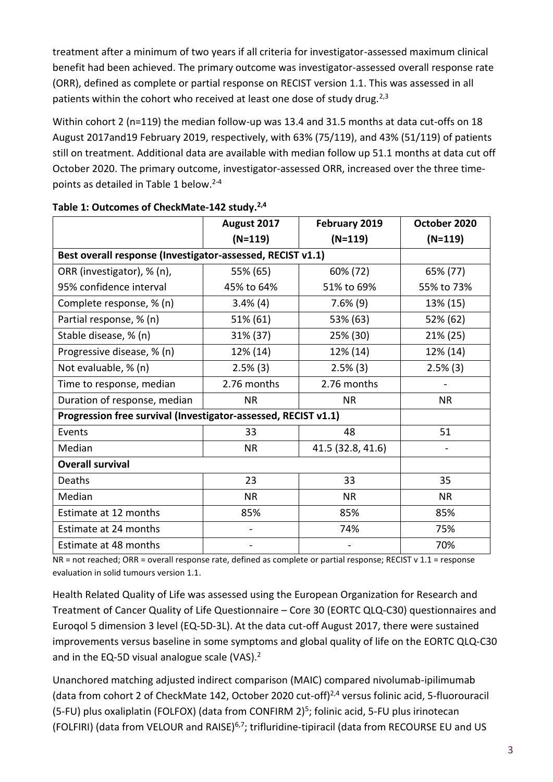treatment after a minimum of two years if all criteria for investigator-assessed maximum clinical benefit had been achieved. The primary outcome was investigator-assessed overall response rate (ORR), defined as complete or partial response on RECIST version 1.1. This was assessed in all patients within the cohort who received at least one dose of study drug.<sup>2,3</sup>

Within cohort 2 (n=119) the median follow-up was 13.4 and 31.5 months at data cut-offs on 18 August 2017and19 February 2019, respectively, with 63% (75/119), and 43% (51/119) of patients still on treatment. Additional data are available with median follow up 51.1 months at data cut off October 2020. The primary outcome, investigator-assessed ORR, increased over the three timepoints as detailed in Table 1 below. 2-4

|                                                                | August 2017 | February 2019     | October 2020 |
|----------------------------------------------------------------|-------------|-------------------|--------------|
|                                                                | $(N=119)$   | $(N=119)$         | $(N=119)$    |
| Best overall response (Investigator-assessed, RECIST v1.1)     |             |                   |              |
| ORR (investigator), % (n),                                     | 55% (65)    | 60% (72)          | 65% (77)     |
| 95% confidence interval                                        | 45% to 64%  | 51% to 69%        | 55% to 73%   |
| Complete response, % (n)                                       | $3.4\%$ (4) | $7.6\%$ (9)       | 13% (15)     |
| Partial response, % (n)                                        | 51% (61)    | 53% (63)          | 52% (62)     |
| Stable disease, % (n)                                          | 31% (37)    | 25% (30)          | $21\% (25)$  |
| Progressive disease, % (n)                                     | 12% (14)    | 12% (14)          | 12% (14)     |
| Not evaluable, % (n)                                           | $2.5\%$ (3) | $2.5\%$ (3)       | $2.5\%$ (3)  |
| Time to response, median                                       | 2.76 months | 2.76 months       |              |
| Duration of response, median                                   | <b>NR</b>   | <b>NR</b>         | NR.          |
| Progression free survival (Investigator-assessed, RECIST v1.1) |             |                   |              |
| Events                                                         | 33          | 48                | 51           |
| Median                                                         | <b>NR</b>   | 41.5 (32.8, 41.6) |              |
| <b>Overall survival</b>                                        |             |                   |              |
| Deaths                                                         | 23          | 33                | 35           |
| Median                                                         | <b>NR</b>   | <b>NR</b>         | <b>NR</b>    |
| Estimate at 12 months                                          | 85%         | 85%               | 85%          |
| Estimate at 24 months                                          |             | 74%               | 75%          |
| Estimate at 48 months                                          |             |                   | 70%          |

#### **Table 1: Outcomes of CheckMate-142 study. 2,4**

NR = not reached; ORR = overall response rate, defined as complete or partial response; RECIST v 1.1 = response evaluation in solid tumours version 1.1.

Health Related Quality of Life was assessed using the European Organization for Research and Treatment of Cancer Quality of Life Questionnaire – Core 30 (EORTC QLQ-C30) questionnaires and Euroqol 5 dimension 3 level (EQ-5D-3L). At the data cut-off August 2017, there were sustained improvements versus baseline in some symptoms and global quality of life on the EORTC QLQ-C30 and in the EQ-5D visual analogue scale (VAS). $2$ 

Unanchored matching adjusted indirect comparison (MAIC) compared nivolumab-ipilimumab (data from cohort 2 of CheckMate 142, October 2020 cut-off)2,4 versus folinic acid, 5-fluorouracil (5-FU) plus oxaliplatin (FOLFOX) (data from CONFIRM 2)<sup>5</sup>; folinic acid, 5-FU plus irinotecan (FOLFIRI) (data from VELOUR and RAISE)6,7; trifluridine-tipiracil (data from RECOURSE EU and US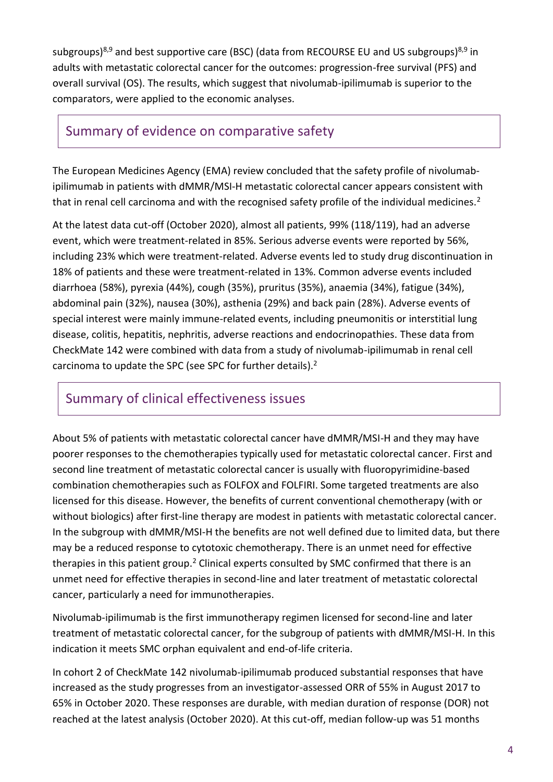subgroups)<sup>8,9</sup> and best supportive care (BSC) (data from RECOURSE EU and US subgroups)<sup>8,9</sup> in adults with metastatic colorectal cancer for the outcomes: progression-free survival (PFS) and overall survival (OS). The results, which suggest that nivolumab-ipilimumab is superior to the comparators, were applied to the economic analyses.

### Summary of evidence on comparative safety

The European Medicines Agency (EMA) review concluded that the safety profile of nivolumabipilimumab in patients with dMMR/MSI-H metastatic colorectal cancer appears consistent with that in renal cell carcinoma and with the recognised safety profile of the individual medicines.<sup>2</sup>

At the latest data cut-off (October 2020), almost all patients, 99% (118/119), had an adverse event, which were treatment-related in 85%. Serious adverse events were reported by 56%, including 23% which were treatment-related. Adverse events led to study drug discontinuation in 18% of patients and these were treatment-related in 13%. Common adverse events included diarrhoea (58%), pyrexia (44%), cough (35%), pruritus (35%), anaemia (34%), fatigue (34%), abdominal pain (32%), nausea (30%), asthenia (29%) and back pain (28%). Adverse events of special interest were mainly immune-related events, including pneumonitis or interstitial lung disease, colitis, hepatitis, nephritis, adverse reactions and endocrinopathies. These data from CheckMate 142 were combined with data from a study of nivolumab-ipilimumab in renal cell carcinoma to update the SPC (see SPC for further details).<sup>2</sup>

## Summary of clinical effectiveness issues

About 5% of patients with metastatic colorectal cancer have dMMR/MSI-H and they may have poorer responses to the chemotherapies typically used for metastatic colorectal cancer. First and second line treatment of metastatic colorectal cancer is usually with fluoropyrimidine-based combination chemotherapies such as FOLFOX and FOLFIRI. Some targeted treatments are also licensed for this disease. However, the benefits of current conventional chemotherapy (with or without biologics) after first-line therapy are modest in patients with metastatic colorectal cancer. In the subgroup with dMMR/MSI-H the benefits are not well defined due to limited data, but there may be a reduced response to cytotoxic chemotherapy. There is an unmet need for effective therapies in this patient group.<sup>2</sup> Clinical experts consulted by SMC confirmed that there is an unmet need for effective therapies in second-line and later treatment of metastatic colorectal cancer, particularly a need for immunotherapies.

Nivolumab-ipilimumab is the first immunotherapy regimen licensed for second-line and later treatment of metastatic colorectal cancer, for the subgroup of patients with dMMR/MSI-H. In this indication it meets SMC orphan equivalent and end-of-life criteria.

In cohort 2 of CheckMate 142 nivolumab-ipilimumab produced substantial responses that have increased as the study progresses from an investigator-assessed ORR of 55% in August 2017 to 65% in October 2020. These responses are durable, with median duration of response (DOR) not reached at the latest analysis (October 2020). At this cut-off, median follow-up was 51 months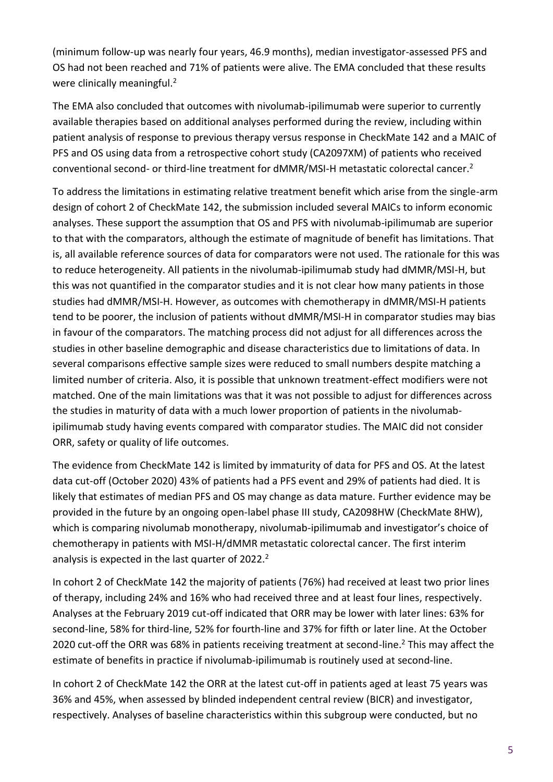(minimum follow-up was nearly four years, 46.9 months), median investigator-assessed PFS and OS had not been reached and 71% of patients were alive. The EMA concluded that these results were clinically meaningful.<sup>2</sup>

The EMA also concluded that outcomes with nivolumab-ipilimumab were superior to currently available therapies based on additional analyses performed during the review, including within patient analysis of response to previous therapy versus response in CheckMate 142 and a MAIC of PFS and OS using data from a retrospective cohort study (CA2097XM) of patients who received conventional second- or third-line treatment for dMMR/MSI-H metastatic colorectal cancer.<sup>2</sup>

To address the limitations in estimating relative treatment benefit which arise from the single-arm design of cohort 2 of CheckMate 142, the submission included several MAICs to inform economic analyses. These support the assumption that OS and PFS with nivolumab-ipilimumab are superior to that with the comparators, although the estimate of magnitude of benefit has limitations. That is, all available reference sources of data for comparators were not used. The rationale for this was to reduce heterogeneity. All patients in the nivolumab-ipilimumab study had dMMR/MSI-H, but this was not quantified in the comparator studies and it is not clear how many patients in those studies had dMMR/MSI-H. However, as outcomes with chemotherapy in dMMR/MSI-H patients tend to be poorer, the inclusion of patients without dMMR/MSI-H in comparator studies may bias in favour of the comparators. The matching process did not adjust for all differences across the studies in other baseline demographic and disease characteristics due to limitations of data. In several comparisons effective sample sizes were reduced to small numbers despite matching a limited number of criteria. Also, it is possible that unknown treatment-effect modifiers were not matched. One of the main limitations was that it was not possible to adjust for differences across the studies in maturity of data with a much lower proportion of patients in the nivolumabipilimumab study having events compared with comparator studies. The MAIC did not consider ORR, safety or quality of life outcomes.

The evidence from CheckMate 142 is limited by immaturity of data for PFS and OS. At the latest data cut-off (October 2020) 43% of patients had a PFS event and 29% of patients had died. It is likely that estimates of median PFS and OS may change as data mature. Further evidence may be provided in the future by an ongoing open-label phase III study, CA2098HW (CheckMate 8HW), which is comparing nivolumab monotherapy, nivolumab-ipilimumab and investigator's choice of chemotherapy in patients with MSI-H/dMMR metastatic colorectal cancer. The first interim analysis is expected in the last quarter of 2022.<sup>2</sup>

In cohort 2 of CheckMate 142 the majority of patients (76%) had received at least two prior lines of therapy, including 24% and 16% who had received three and at least four lines, respectively. Analyses at the February 2019 cut-off indicated that ORR may be lower with later lines: 63% for second-line, 58% for third-line, 52% for fourth-line and 37% for fifth or later line. At the October 2020 cut-off the ORR was 68% in patients receiving treatment at second-line.<sup>2</sup> This may affect the estimate of benefits in practice if nivolumab-ipilimumab is routinely used at second-line.

In cohort 2 of CheckMate 142 the ORR at the latest cut-off in patients aged at least 75 years was 36% and 45%, when assessed by blinded independent central review (BICR) and investigator, respectively. Analyses of baseline characteristics within this subgroup were conducted, but no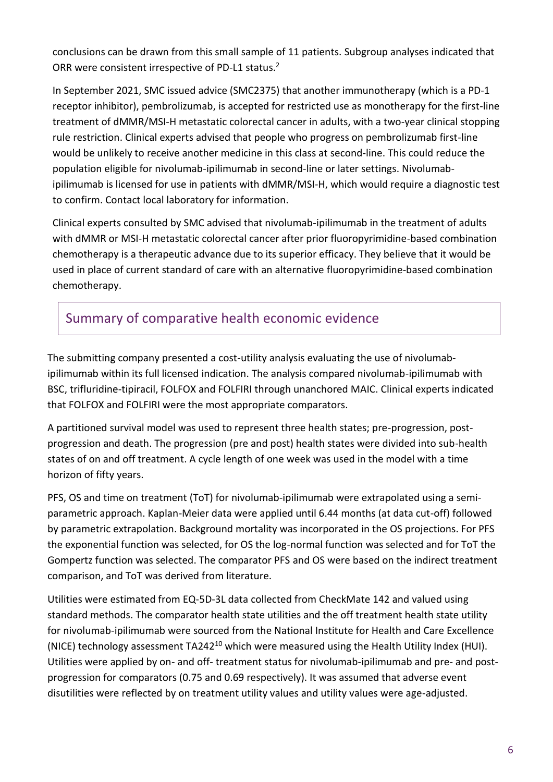conclusions can be drawn from this small sample of 11 patients. Subgroup analyses indicated that ORR were consistent irrespective of PD-L1 status.<sup>2</sup>

In September 2021, SMC issued advice (SMC2375) that another immunotherapy (which is a PD-1 receptor inhibitor), pembrolizumab, is accepted for restricted use as monotherapy for the first-line treatment of dMMR/MSI-H metastatic colorectal cancer in adults, with a two-year clinical stopping rule restriction. Clinical experts advised that people who progress on pembrolizumab first-line would be unlikely to receive another medicine in this class at second-line. This could reduce the population eligible for nivolumab-ipilimumab in second-line or later settings. Nivolumabipilimumab is licensed for use in patients with dMMR/MSI-H, which would require a diagnostic test to confirm. Contact local laboratory for information.

Clinical experts consulted by SMC advised that nivolumab-ipilimumab in the treatment of adults with dMMR or MSI-H metastatic colorectal cancer after prior fluoropyrimidine-based combination chemotherapy is a therapeutic advance due to its superior efficacy. They believe that it would be used in place of current standard of care with an alternative fluoropyrimidine-based combination chemotherapy.

# Summary of comparative health economic evidence

The submitting company presented a cost-utility analysis evaluating the use of nivolumabipilimumab within its full licensed indication. The analysis compared nivolumab-ipilimumab with BSC, trifluridine-tipiracil, FOLFOX and FOLFIRI through unanchored MAIC. Clinical experts indicated that FOLFOX and FOLFIRI were the most appropriate comparators.

A partitioned survival model was used to represent three health states; pre-progression, postprogression and death. The progression (pre and post) health states were divided into sub-health states of on and off treatment. A cycle length of one week was used in the model with a time horizon of fifty years.

PFS, OS and time on treatment (ToT) for nivolumab-ipilimumab were extrapolated using a semiparametric approach. Kaplan-Meier data were applied until 6.44 months (at data cut-off) followed by parametric extrapolation. Background mortality was incorporated in the OS projections. For PFS the exponential function was selected, for OS the log-normal function was selected and for ToT the Gompertz function was selected. The comparator PFS and OS were based on the indirect treatment comparison, and ToT was derived from literature.

Utilities were estimated from EQ-5D-3L data collected from CheckMate 142 and valued using standard methods. The comparator health state utilities and the off treatment health state utility for nivolumab-ipilimumab were sourced from the National Institute for Health and Care Excellence (NICE) technology assessment TA242<sup>10</sup> which were measured using the Health Utility Index (HUI). Utilities were applied by on- and off- treatment status for nivolumab-ipilimumab and pre- and postprogression for comparators (0.75 and 0.69 respectively). It was assumed that adverse event disutilities were reflected by on treatment utility values and utility values were age-adjusted.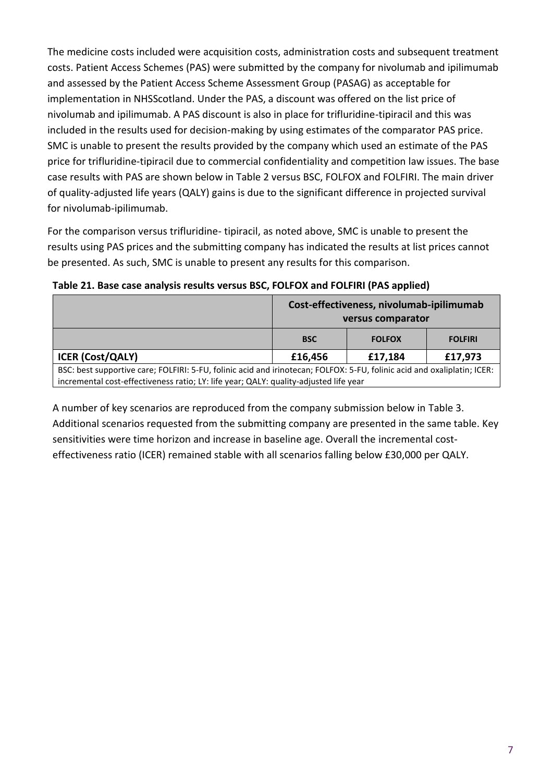The medicine costs included were acquisition costs, administration costs and subsequent treatment costs. Patient Access Schemes (PAS) were submitted by the company for nivolumab and ipilimumab and assessed by the Patient Access Scheme Assessment Group (PASAG) as acceptable for implementation in NHSScotland. Under the PAS, a discount was offered on the list price of nivolumab and ipilimumab. A PAS discount is also in place for trifluridine-tipiracil and this was included in the results used for decision-making by using estimates of the comparator PAS price. SMC is unable to present the results provided by the company which used an estimate of the PAS price for trifluridine-tipiracil due to commercial confidentiality and competition law issues. The base case results with PAS are shown below in Table 2 versus BSC, FOLFOX and FOLFIRI. The main driver of quality-adjusted life years (QALY) gains is due to the significant difference in projected survival for nivolumab-ipilimumab.

For the comparison versus trifluridine- tipiracil, as noted above, SMC is unable to present the results using PAS prices and the submitting company has indicated the results at list prices cannot be presented. As such, SMC is unable to present any results for this comparison.

|                                                                                                                                                                                                                   | Cost-effectiveness, nivolumab-ipilimumab<br>versus comparator |               |                |  |
|-------------------------------------------------------------------------------------------------------------------------------------------------------------------------------------------------------------------|---------------------------------------------------------------|---------------|----------------|--|
|                                                                                                                                                                                                                   | <b>BSC</b>                                                    | <b>FOLFOX</b> | <b>FOLFIRI</b> |  |
| <b>ICER (Cost/QALY)</b>                                                                                                                                                                                           | £16,456                                                       | £17,184       | £17,973        |  |
| BSC: best supportive care; FOLFIRI: 5-FU, folinic acid and irinotecan; FOLFOX: 5-FU, folinic acid and oxaliplatin; ICER:<br>incremental cost-effectiveness ratio; LY: life year; QALY: quality-adjusted life year |                                                               |               |                |  |

**Table 21. Base case analysis results versus BSC, FOLFOX and FOLFIRI (PAS applied)**

A number of key scenarios are reproduced from the company submission below in Table 3. Additional scenarios requested from the submitting company are presented in the same table. Key sensitivities were time horizon and increase in baseline age. Overall the incremental costeffectiveness ratio (ICER) remained stable with all scenarios falling below £30,000 per QALY.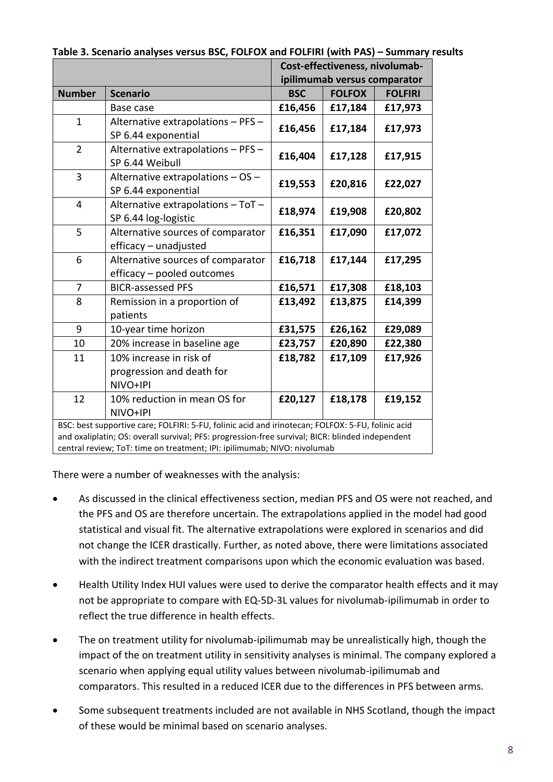|                                                                                                                                                                                                                                                                                   |                                                                  | Cost-effectiveness, nivolumab-<br>ipilimumab versus comparator |               |                |
|-----------------------------------------------------------------------------------------------------------------------------------------------------------------------------------------------------------------------------------------------------------------------------------|------------------------------------------------------------------|----------------------------------------------------------------|---------------|----------------|
| <b>Number</b>                                                                                                                                                                                                                                                                     | <b>Scenario</b>                                                  | <b>BSC</b>                                                     | <b>FOLFOX</b> | <b>FOLFIRI</b> |
|                                                                                                                                                                                                                                                                                   | Base case                                                        | £16,456                                                        | £17,184       | £17,973        |
| $\mathbf{1}$                                                                                                                                                                                                                                                                      | Alternative extrapolations - PFS -<br>SP 6.44 exponential        | £16,456                                                        | £17,184       | £17,973        |
| $\overline{2}$                                                                                                                                                                                                                                                                    | Alternative extrapolations - PFS -<br>SP 6.44 Weibull            | £16,404                                                        | £17,128       | £17,915        |
| 3                                                                                                                                                                                                                                                                                 | Alternative extrapolations - OS -<br>SP 6.44 exponential         | £19,553                                                        | £20,816       | £22,027        |
| $\overline{4}$                                                                                                                                                                                                                                                                    | Alternative extrapolations - ToT -<br>SP 6.44 log-logistic       | £18,974                                                        | £19,908       | £20,802        |
| 5                                                                                                                                                                                                                                                                                 | Alternative sources of comparator<br>efficacy - unadjusted       | £16,351                                                        | £17,090       | £17,072        |
| 6                                                                                                                                                                                                                                                                                 | Alternative sources of comparator<br>efficacy - pooled outcomes  | £16,718                                                        | £17,144       | £17,295        |
| 7                                                                                                                                                                                                                                                                                 | <b>BICR-assessed PFS</b>                                         | £16,571                                                        | £17,308       | £18,103        |
| 8                                                                                                                                                                                                                                                                                 | Remission in a proportion of<br>patients                         | £13,492                                                        | £13,875       | £14,399        |
| 9                                                                                                                                                                                                                                                                                 | 10-year time horizon                                             | £31,575                                                        | £26,162       | £29,089        |
| 10                                                                                                                                                                                                                                                                                | 20% increase in baseline age                                     | £23,757                                                        | £20,890       | £22,380        |
| 11                                                                                                                                                                                                                                                                                | 10% increase in risk of<br>progression and death for<br>NIVO+IPI | £18,782                                                        | £17,109       | £17,926        |
| 12                                                                                                                                                                                                                                                                                | 10% reduction in mean OS for<br>NIVO+IPI                         | £20,127                                                        | £18,178       | £19,152        |
| BSC: best supportive care; FOLFIRI: 5-FU, folinic acid and irinotecan; FOLFOX: 5-FU, folinic acid<br>and oxaliplatin; OS: overall survival; PFS: progression-free survival; BICR: blinded independent<br>central review; ToT: time on treatment; IPI: ipilimumab; NIVO: nivolumab |                                                                  |                                                                |               |                |

**Table 3. Scenario analyses versus BSC, FOLFOX and FOLFIRI (with PAS) – Summary results**

There were a number of weaknesses with the analysis:

- As discussed in the clinical effectiveness section, median PFS and OS were not reached, and the PFS and OS are therefore uncertain. The extrapolations applied in the model had good statistical and visual fit. The alternative extrapolations were explored in scenarios and did not change the ICER drastically. Further, as noted above, there were limitations associated with the indirect treatment comparisons upon which the economic evaluation was based.
- Health Utility Index HUI values were used to derive the comparator health effects and it may not be appropriate to compare with EQ-5D-3L values for nivolumab-ipilimumab in order to reflect the true difference in health effects.
- The on treatment utility for nivolumab-ipilimumab may be unrealistically high, though the impact of the on treatment utility in sensitivity analyses is minimal. The company explored a scenario when applying equal utility values between nivolumab-ipilimumab and comparators. This resulted in a reduced ICER due to the differences in PFS between arms.
- Some subsequent treatments included are not available in NHS Scotland, though the impact of these would be minimal based on scenario analyses.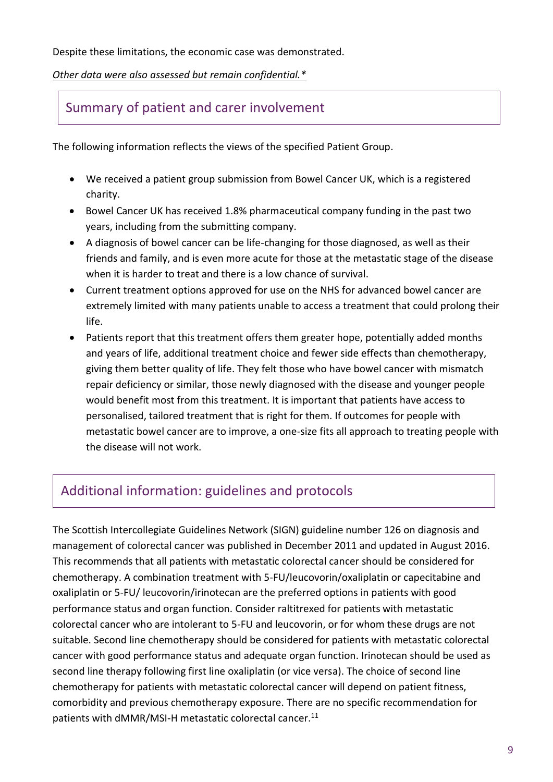Despite these limitations, the economic case was demonstrated.

#### *Other data were also assessed but remain confidential.\**

### Summary of patient and carer involvement

The following information reflects the views of the specified Patient Group.

- We received a patient group submission from Bowel Cancer UK, which is a registered charity.
- Bowel Cancer UK has received 1.8% pharmaceutical company funding in the past two years, including from the submitting company.
- A diagnosis of bowel cancer can be life-changing for those diagnosed, as well as their friends and family, and is even more acute for those at the metastatic stage of the disease when it is harder to treat and there is a low chance of survival.
- Current treatment options approved for use on the NHS for advanced bowel cancer are extremely limited with many patients unable to access a treatment that could prolong their life.
- Patients report that this treatment offers them greater hope, potentially added months and years of life, additional treatment choice and fewer side effects than chemotherapy, giving them better quality of life. They felt those who have bowel cancer with mismatch repair deficiency or similar, those newly diagnosed with the disease and younger people would benefit most from this treatment. It is important that patients have access to personalised, tailored treatment that is right for them. If outcomes for people with metastatic bowel cancer are to improve, a one-size fits all approach to treating people with the disease will not work.

### Additional information: guidelines and protocols

The Scottish Intercollegiate Guidelines Network (SIGN) guideline number 126 on diagnosis and management of colorectal cancer was published in December 2011 and updated in August 2016. This recommends that all patients with metastatic colorectal cancer should be considered for chemotherapy. A combination treatment with 5-FU/leucovorin/oxaliplatin or capecitabine and oxaliplatin or 5-FU/ leucovorin/irinotecan are the preferred options in patients with good performance status and organ function. Consider raltitrexed for patients with metastatic colorectal cancer who are intolerant to 5-FU and leucovorin, or for whom these drugs are not suitable. Second line chemotherapy should be considered for patients with metastatic colorectal cancer with good performance status and adequate organ function. Irinotecan should be used as second line therapy following first line oxaliplatin (or vice versa). The choice of second line chemotherapy for patients with metastatic colorectal cancer will depend on patient fitness, comorbidity and previous chemotherapy exposure. There are no specific recommendation for patients with dMMR/MSI-H metastatic colorectal cancer.<sup>11</sup>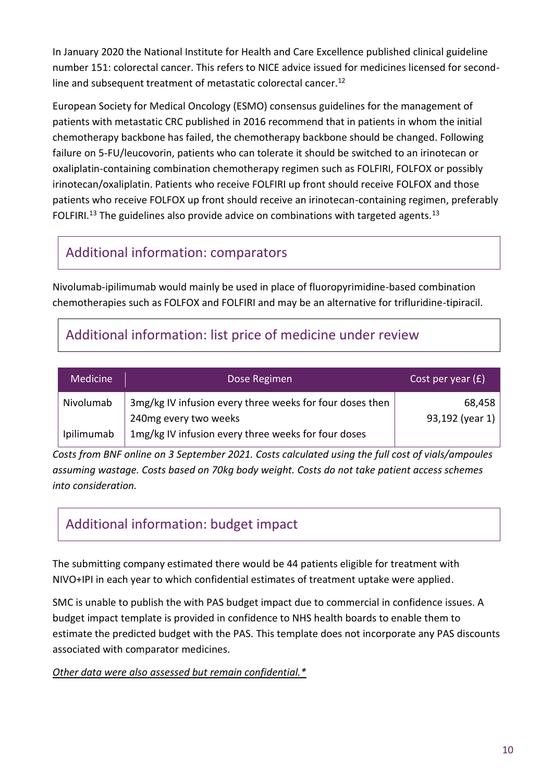In January 2020 the National Institute for Health and Care Excellence published clinical guideline number 151: colorectal cancer. This refers to NICE advice issued for medicines licensed for secondline and subsequent treatment of metastatic colorectal cancer.<sup>12</sup>

European Society for Medical Oncology (ESMO) consensus guidelines for the management of patients with metastatic CRC published in 2016 recommend that in patients in whom the initial chemotherapy backbone has failed, the chemotherapy backbone should be changed. Following failure on 5-FU/leucovorin, patients who can tolerate it should be switched to an irinotecan or oxaliplatin-containing combination chemotherapy regimen such as FOLFIRI, FOLFOX or possibly irinotecan/oxaliplatin. Patients who receive FOLFIRI up front should receive FOLFOX and those patients who receive FOLFOX up front should receive an irinotecan-containing regimen, preferably FOLFIRI.<sup>13</sup> The guidelines also provide advice on combinations with targeted agents.<sup>13</sup>

# Additional information: comparators

Nivolumab-ipilimumab would mainly be used in place of fluoropyrimidine-based combination chemotherapies such as FOLFOX and FOLFIRI and may be an alternative for trifluridine-tipiracil.

# Additional information: list price of medicine under review

| <b>Medicine</b> | Dose Regimen                                             | Cost per year $(f)$ |
|-----------------|----------------------------------------------------------|---------------------|
| Nivolumab       | 3mg/kg IV infusion every three weeks for four doses then | 68,458              |
|                 | 240mg every two weeks                                    | 93,192 (year 1)     |
| Ipilimumab      | 1mg/kg IV infusion every three weeks for four doses      |                     |

*Costs from BNF online on 3 September 2021. Costs calculated using the full cost of vials/ampoules assuming wastage. Costs based on 70kg body weight. Costs do not take patient access schemes into consideration.*

# Additional information: budget impact

The submitting company estimated there would be 44 patients eligible for treatment with NIVO+IPI in each year to which confidential estimates of treatment uptake were applied.

SMC is unable to publish the with PAS budget impact due to commercial in confidence issues. A budget impact template is provided in confidence to NHS health boards to enable them to estimate the predicted budget with the PAS. This template does not incorporate any PAS discounts associated with comparator medicines.

*Other data were also assessed but remain confidential.\**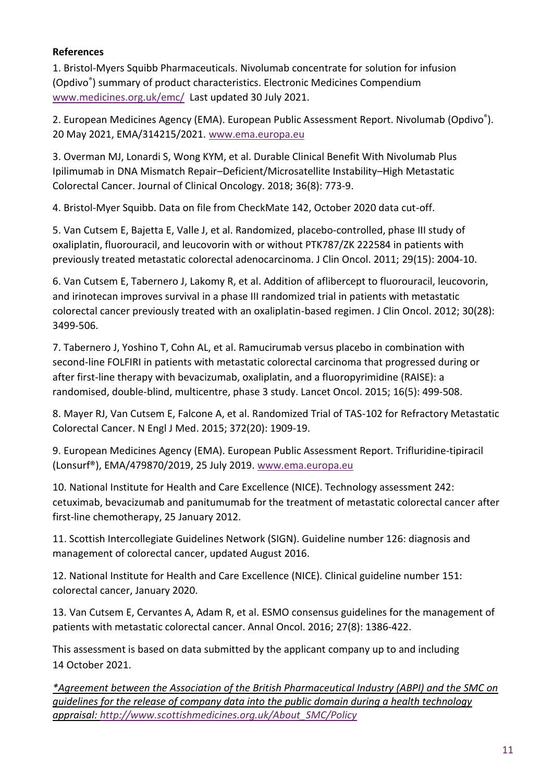#### **References**

1. [Bristol-Myers Squibb Pharmaceuticals.](https://www.medicines.org.uk/emc/product/6888#companyDetails) Nivolumab concentrate for solution for infusion (Opdivo® ) summary of product characteristics. Electronic Medicines Compendium [www.medicines.org.uk/emc/](http://www.medicines.org.uk/emc/) Last updated 30 July 2021.

2. European Medicines Agency (EMA). European Public Assessment Report. Nivolumab (Opdivo®). 20 May 2021, EMA/314215/2021. [www.ema.europa.eu](http://www.ema.europa.eu/)

3. Overman MJ, Lonardi S, Wong KYM, et al. Durable Clinical Benefit With Nivolumab Plus Ipilimumab in DNA Mismatch Repair–Deficient/Microsatellite Instability–High Metastatic Colorectal Cancer. Journal of Clinical Oncology. 2018; 36(8): 773-9.

4. Bristol-Myer Squibb. Data on file from CheckMate 142, October 2020 data cut-off.

5. Van Cutsem E, Bajetta E, Valle J, et al. Randomized, placebo-controlled, phase III study of oxaliplatin, fluorouracil, and leucovorin with or without PTK787/ZK 222584 in patients with previously treated metastatic colorectal adenocarcinoma. J Clin Oncol. 2011; 29(15): 2004-10.

6. Van Cutsem E, Tabernero J, Lakomy R, et al. Addition of aflibercept to fluorouracil, leucovorin, and irinotecan improves survival in a phase III randomized trial in patients with metastatic colorectal cancer previously treated with an oxaliplatin-based regimen. J Clin Oncol. 2012; 30(28): 3499-506.

7. Tabernero J, Yoshino T, Cohn AL, et al. Ramucirumab versus placebo in combination with second-line FOLFIRI in patients with metastatic colorectal carcinoma that progressed during or after first-line therapy with bevacizumab, oxaliplatin, and a fluoropyrimidine (RAISE): a randomised, double-blind, multicentre, phase 3 study. Lancet Oncol. 2015; 16(5): 499-508.

8. Mayer RJ, Van Cutsem E, Falcone A, et al. Randomized Trial of TAS-102 for Refractory Metastatic Colorectal Cancer. N Engl J Med. 2015; 372(20): 1909-19.

9. European Medicines Agency (EMA). European Public Assessment Report. Trifluridine-tipiracil (Lonsurf®), EMA/479870/2019, 25 July 2019. [www.ema.europa.eu](http://www.ema.europa.eu/)

10. National Institute for Health and Care Excellence (NICE). Technology assessment 242: cetuximab, bevacizumab and panitumumab for the treatment of metastatic colorectal cancer after first-line chemotherapy, 25 January 2012.

11. Scottish Intercollegiate Guidelines Network (SIGN). Guideline number 126: diagnosis and management of colorectal cancer, updated August 2016.

12. National Institute for Health and Care Excellence (NICE). Clinical guideline number 151: colorectal cancer, January 2020.

13. Van Cutsem E, Cervantes A, Adam R, et al. ESMO consensus guidelines for the management of patients with metastatic colorectal cancer. Annal Oncol. 2016; 27(8): 1386-422.

This assessment is based on data submitted by the applicant company up to and including 14 October 2021.

*\*Agreement between the Association of the British Pharmaceutical Industry (ABPI) and the SMC on guidelines for the release of company data into the public domain during a health technology appraisal: [http://www.scottishmedicines.org.uk/About\\_SMC/Policy](http://www.scottishmedicines.org.uk/About_SMC/Policy)*